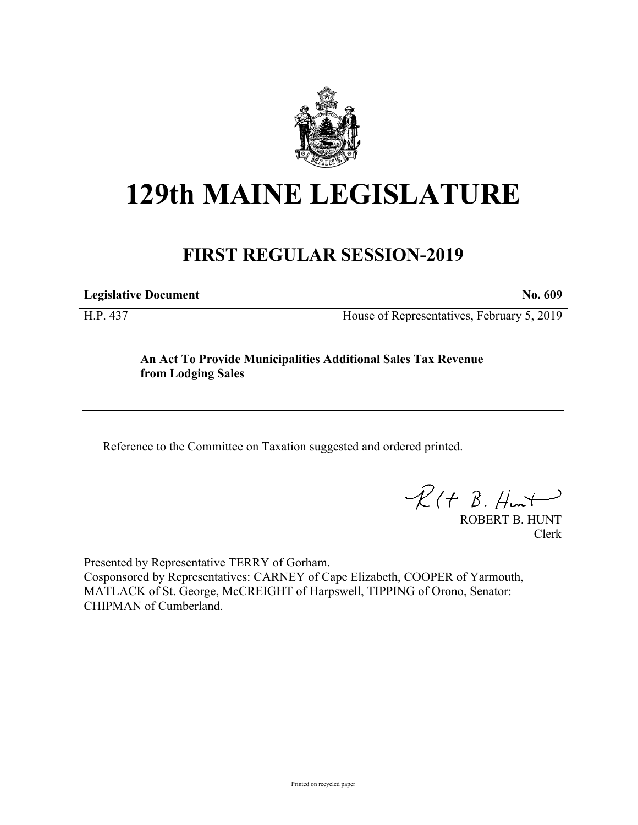

# **129th MAINE LEGISLATURE**

# **FIRST REGULAR SESSION-2019**

**Legislative Document No. 609**

H.P. 437 House of Representatives, February 5, 2019

**An Act To Provide Municipalities Additional Sales Tax Revenue from Lodging Sales**

Reference to the Committee on Taxation suggested and ordered printed.

 $R(t B. Hmt)$ 

ROBERT B. HUNT Clerk

Presented by Representative TERRY of Gorham. Cosponsored by Representatives: CARNEY of Cape Elizabeth, COOPER of Yarmouth, MATLACK of St. George, McCREIGHT of Harpswell, TIPPING of Orono, Senator: CHIPMAN of Cumberland.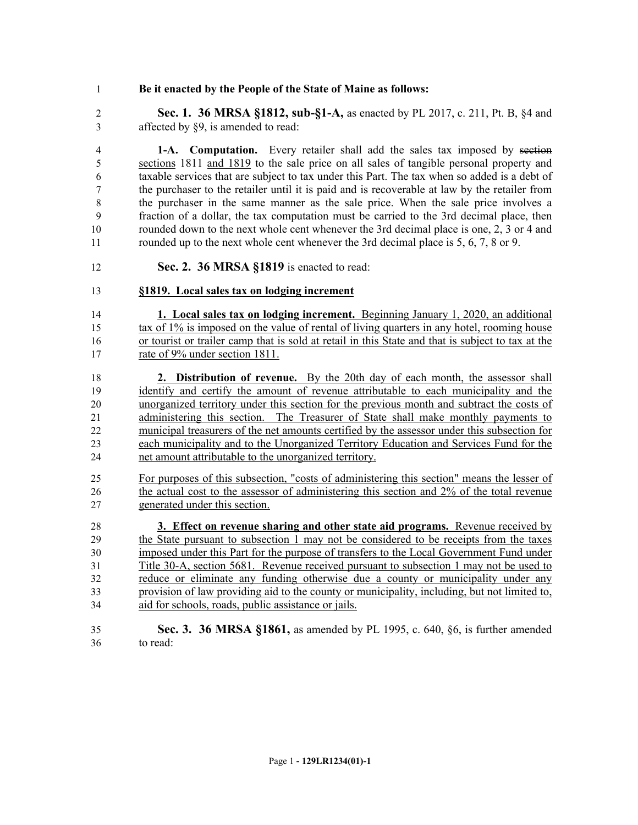## **Be it enacted by the People of the State of Maine as follows:**

 **Sec. 1. 36 MRSA §1812, sub-§1-A,** as enacted by PL 2017, c. 211, Pt. B, §4 and affected by §9, is amended to read:

 **1-A. Computation.** Every retailer shall add the sales tax imposed by section sections 1811 and 1819 to the sale price on all sales of tangible personal property and taxable services that are subject to tax under this Part. The tax when so added is a debt of the purchaser to the retailer until it is paid and is recoverable at law by the retailer from the purchaser in the same manner as the sale price. When the sale price involves a fraction of a dollar, the tax computation must be carried to the 3rd decimal place, then rounded down to the next whole cent whenever the 3rd decimal place is one, 2, 3 or 4 and 11 rounded up to the next whole cent whenever the 3rd decimal place is 5, 6, 7, 8 or 9.

**Sec. 2. 36 MRSA §1819** is enacted to read:

## **§1819. Local sales tax on lodging increment**

 **1. Local sales tax on lodging increment.** Beginning January 1, 2020, an additional tax of 1% is imposed on the value of rental of living quarters in any hotel, rooming house or tourist or trailer camp that is sold at retail in this State and that is subject to tax at the 17 rate of 9% under section 1811.

 **2. Distribution of revenue.** By the 20th day of each month, the assessor shall identify and certify the amount of revenue attributable to each municipality and the unorganized territory under this section for the previous month and subtract the costs of administering this section. The Treasurer of State shall make monthly payments to municipal treasurers of the net amounts certified by the assessor under this subsection for each municipality and to the Unorganized Territory Education and Services Fund for the net amount attributable to the unorganized territory.

 For purposes of this subsection, "costs of administering this section" means the lesser of the actual cost to the assessor of administering this section and 2% of the total revenue generated under this section.

 **3. Effect on revenue sharing and other state aid programs.** Revenue received by the State pursuant to subsection 1 may not be considered to be receipts from the taxes imposed under this Part for the purpose of transfers to the Local Government Fund under Title 30-A, section 5681. Revenue received pursuant to subsection 1 may not be used to reduce or eliminate any funding otherwise due a county or municipality under any provision of law providing aid to the county or municipality, including, but not limited to, aid for schools, roads, public assistance or jails.

 **Sec. 3. 36 MRSA §1861,** as amended by PL 1995, c. 640, §6, is further amended to read: